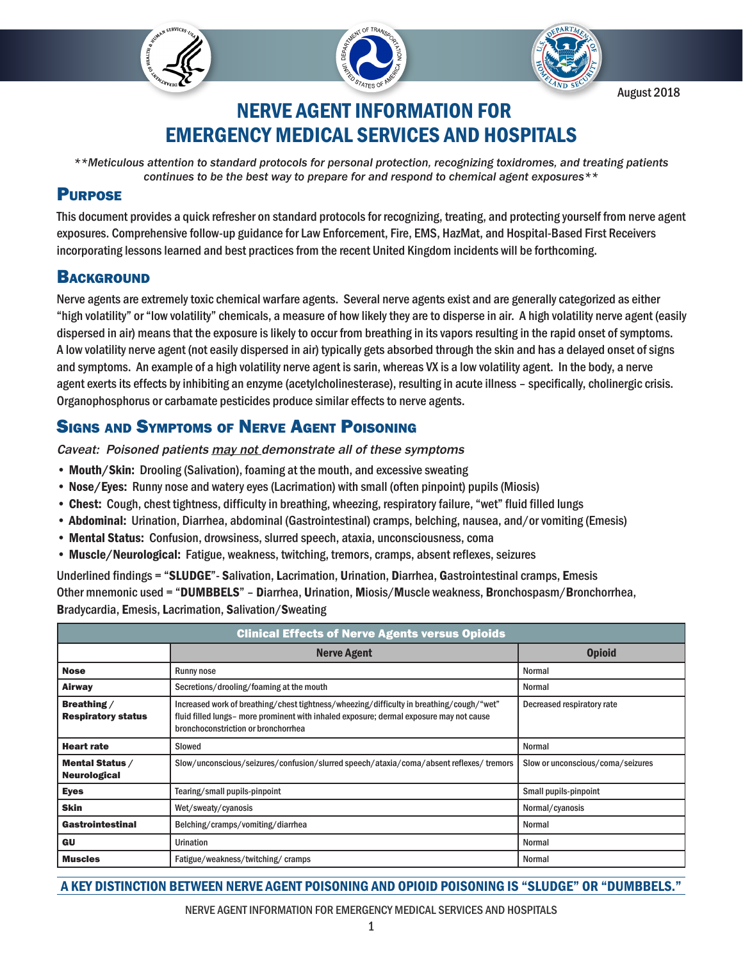



August 2018

# NERVE AGENT INFORMATION FOR EMERGENCY MEDICAL SERVICES AND HOSPITALS

*\*\*Meticulous attention to standard protocols for personal protection, recognizing toxidromes, and treating patients continues to be the best way to prepare for and respond to chemical agent exposures\*\**

### **PURPOSE**

This document provides a quick refresher on standard protocols for recognizing, treating, and protecting yourself from nerve agent exposures. Comprehensive follow-up guidance for Law Enforcement, Fire, EMS, HazMat, and Hospital-Based First Receivers incorporating lessons learned and best practices from the recent United Kingdom incidents will be forthcoming.

## **BACKGROUND**

Nerve agents are extremely toxic chemical warfare agents. Several nerve agents exist and are generally categorized as either "high volatility" or "low volatility" chemicals, a measure of how likely they are to disperse in air. A high volatility nerve agent (easily dispersed in air) means that the exposure is likely to occur from breathing in its vapors resulting in the rapid onset of symptoms. A low volatility nerve agent (not easily dispersed in air) typically gets absorbed through the skin and has a delayed onset of signs and symptoms. An example of a high volatility nerve agent is sarin, whereas VX is a low volatility agent. In the body, a nerve agent exerts its effects by inhibiting an enzyme (acetylcholinesterase), resulting in acute illness – specifically, cholinergic crisis. Organophosphorus or carbamate pesticides produce similar effects to nerve agents.

# Signs and Symptoms of Nerve Agent Poisoning

Caveat: Poisoned patients may not demonstrate all of these symptoms

- Mouth/Skin: Drooling (Salivation), foaming at the mouth, and excessive sweating
- Nose/Eyes: Runny nose and watery eyes (Lacrimation) with small (often pinpoint) pupils (Miosis)
- Chest: Cough, chest tightness, difficulty in breathing, wheezing, respiratory failure, "wet" fluid filled lungs
- Abdominal: Urination, Diarrhea, abdominal (Gastrointestinal) cramps, belching, nausea, and/or vomiting (Emesis)
- Mental Status: Confusion, drowsiness, slurred speech, ataxia, unconsciousness, coma
- Muscle/Neurological: Fatigue, weakness, twitching, tremors, cramps, absent reflexes, seizures

Underlined findings = "SLUDGE"- Salivation, Lacrimation, Urination, Diarrhea, Gastrointestinal cramps, Emesis Other mnemonic used = "DUMBBELS" – Diarrhea, Urination, Miosis/Muscle weakness, Bronchospasm/Bronchorrhea, Bradycardia, Emesis, Lacrimation, Salivation/Sweating

| <b>Clinical Effects of Nerve Agents versus Opioids</b> |                                                                                                                                                                                                                                                          |                                   |  |  |
|--------------------------------------------------------|----------------------------------------------------------------------------------------------------------------------------------------------------------------------------------------------------------------------------------------------------------|-----------------------------------|--|--|
|                                                        | <b>Nerve Agent</b>                                                                                                                                                                                                                                       | <b>Opioid</b>                     |  |  |
| <b>Nose</b>                                            | <b>Runny nose</b>                                                                                                                                                                                                                                        | Normal                            |  |  |
| <b>Airway</b>                                          | Secretions/drooling/foaming at the mouth                                                                                                                                                                                                                 | Normal                            |  |  |
| Breathing /<br><b>Respiratory status</b>               | Increased work of breathing/chest tightness/wheezing/difficulty in breathing/cough/"wet"<br>Decreased respiratory rate<br>fluid filled lungs- more prominent with inhaled exposure; dermal exposure may not cause<br>bronchoconstriction or bronchorrhea |                                   |  |  |
| <b>Heart rate</b>                                      | Slowed                                                                                                                                                                                                                                                   | Normal                            |  |  |
| Mental Status /<br><b>Neurological</b>                 | Slow/unconscious/seizures/confusion/slurred speech/ataxia/coma/absent reflexes/tremors                                                                                                                                                                   | Slow or unconscious/coma/seizures |  |  |
| <b>Eyes</b>                                            | Tearing/small pupils-pinpoint                                                                                                                                                                                                                            | Small pupils-pinpoint             |  |  |
| <b>Skin</b>                                            | Wet/sweaty/cyanosis                                                                                                                                                                                                                                      | Normal/cyanosis                   |  |  |
| Gastrointestinal                                       | Belching/cramps/vomiting/diarrhea                                                                                                                                                                                                                        | Normal                            |  |  |
| GU                                                     | Urination                                                                                                                                                                                                                                                | Normal                            |  |  |
| <b>Muscles</b>                                         | Fatigue/weakness/twitching/cramps                                                                                                                                                                                                                        | Normal                            |  |  |

A KEY DISTINCTION BETWEEN NERVE AGENT POISONING AND OPIOID POISONING IS "SLUDGE" OR "DUMBBELS."

NERVE AGENT INFORMATION FOR EMERGENCY MEDICAL SERVICES AND HOSPITALS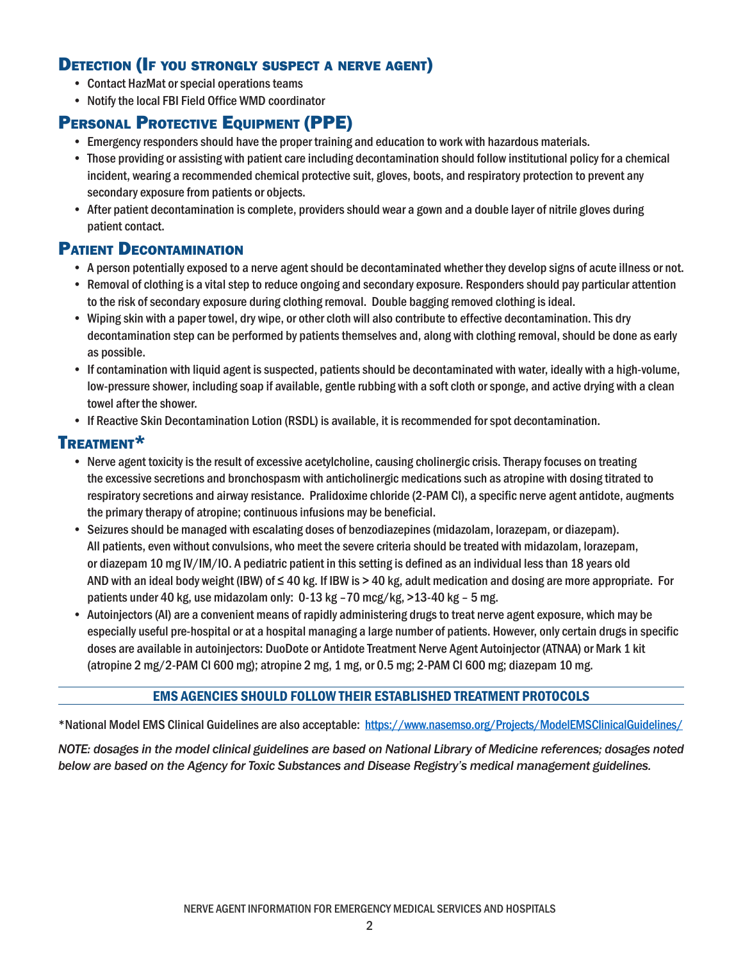### Detection (If you strongly suspect <sup>a</sup> nerve agent)

- Contact HazMat or special operations teams
- Notify the local FBI Field Office WMD coordinator

# PERSONAL PROTECTIVE EQUIPMENT (PPE)

- Emergency responders should have the proper training and education to work with hazardous materials.
- Those providing or assisting with patient care including decontamination should follow institutional policy for a chemical incident, wearing a recommended chemical protective suit, gloves, boots, and respiratory protection to prevent any secondary exposure from patients or objects.
- After patient decontamination is complete, providers should wear a gown and a double layer of nitrile gloves during patient contact.

### Patient Decontamination

- A person potentially exposed to a nerve agent should be decontaminated whether they develop signs of acute illness or not.
- Removal of clothing is a vital step to reduce ongoing and secondary exposure. Responders should pay particular attention to the risk of secondary exposure during clothing removal. Double bagging removed clothing is ideal.
- Wiping skin with a paper towel, dry wipe, or other cloth will also contribute to effective decontamination. This dry decontamination step can be performed by patients themselves and, along with clothing removal, should be done as early as possible.
- If contamination with liquid agent is suspected, patients should be decontaminated with water, ideally with a high-volume, low-pressure shower, including soap if available, gentle rubbing with a soft cloth or sponge, and active drying with a clean towel after the shower.
- If Reactive Skin Decontamination Lotion (RSDL) is available, it is recommended for spot decontamination.

### Treatment\*

- Nerve agent toxicity is the result of excessive acetylcholine, causing cholinergic crisis. Therapy focuses on treating the excessive secretions and bronchospasm with anticholinergic medications such as atropine with dosing titrated to respiratory secretions and airway resistance. Pralidoxime chloride (2-PAM Cl), a specific nerve agent antidote, augments the primary therapy of atropine; continuous infusions may be beneficial.
- Seizures should be managed with escalating doses of benzodiazepines (midazolam, lorazepam, or diazepam). All patients, even without convulsions, who meet the severe criteria should be treated with midazolam, lorazepam, or diazepam 10 mg IV/IM/IO. A pediatric patient in this setting is defined as an individual less than 18 years old AND with an ideal body weight (IBW) of ≤ 40 kg. If IBW is > 40 kg, adult medication and dosing are more appropriate. For patients under 40 kg, use midazolam only: 0-13 kg –70 mcg/kg, >13-40 kg – 5 mg.
- Autoinjectors (AI) are a convenient means of rapidly administering drugs to treat nerve agent exposure, which may be especially useful pre-hospital or at a hospital managing a large number of patients. However, only certain drugs in specific doses are available in autoinjectors: DuoDote or Antidote Treatment Nerve Agent Autoinjector (ATNAA) or Mark 1 kit (atropine 2 mg/2-PAM Cl 600 mg); atropine 2 mg, 1 mg, or 0.5 mg; 2-PAM Cl 600 mg; diazepam 10 mg.

#### EMS AGENCIES SHOULD FOLLOW THEIR ESTABLISHED TREATMENT PROTOCOLS

\*National Model EMS Clinical Guidelines are also acceptable: <https://www.nasemso.org/Projects/ModelEMSClinicalGuidelines/>

*NOTE: dosages in the model clinical guidelines are based on National Library of Medicine references; dosages noted below are based on the Agency for Toxic Substances and Disease Registry's medical management guidelines.*